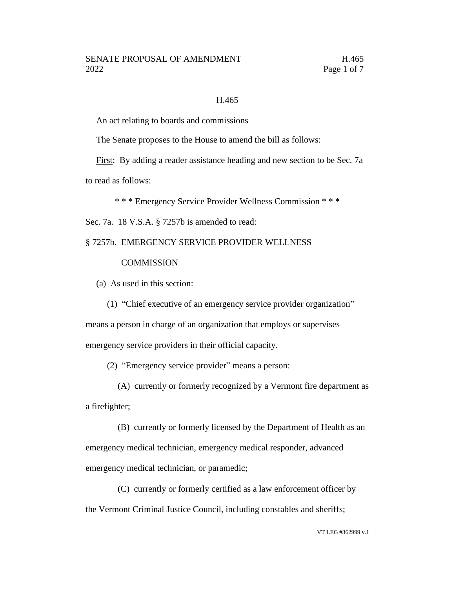### H.465

An act relating to boards and commissions

The Senate proposes to the House to amend the bill as follows:

First: By adding a reader assistance heading and new section to be Sec. 7a

to read as follows:

\* \* \* Emergency Service Provider Wellness Commission \* \* \*

Sec. 7a. 18 V.S.A. § 7257b is amended to read:

## § 7257b. EMERGENCY SERVICE PROVIDER WELLNESS

### **COMMISSION**

(a) As used in this section:

(1) "Chief executive of an emergency service provider organization"

means a person in charge of an organization that employs or supervises emergency service providers in their official capacity.

(2) "Emergency service provider" means a person:

(A) currently or formerly recognized by a Vermont fire department as a firefighter;

(B) currently or formerly licensed by the Department of Health as an emergency medical technician, emergency medical responder, advanced emergency medical technician, or paramedic;

(C) currently or formerly certified as a law enforcement officer by the Vermont Criminal Justice Council, including constables and sheriffs;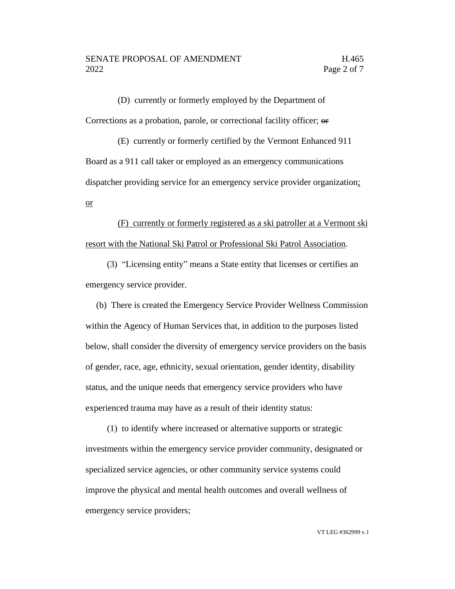(D) currently or formerly employed by the Department of Corrections as a probation, parole, or correctional facility officer; or

(E) currently or formerly certified by the Vermont Enhanced 911 Board as a 911 call taker or employed as an emergency communications dispatcher providing service for an emergency service provider organization; or

(F) currently or formerly registered as a ski patroller at a Vermont ski resort with the National Ski Patrol or Professional Ski Patrol Association.

(3) "Licensing entity" means a State entity that licenses or certifies an emergency service provider.

(b) There is created the Emergency Service Provider Wellness Commission within the Agency of Human Services that, in addition to the purposes listed below, shall consider the diversity of emergency service providers on the basis of gender, race, age, ethnicity, sexual orientation, gender identity, disability status, and the unique needs that emergency service providers who have experienced trauma may have as a result of their identity status:

(1) to identify where increased or alternative supports or strategic investments within the emergency service provider community, designated or specialized service agencies, or other community service systems could improve the physical and mental health outcomes and overall wellness of emergency service providers;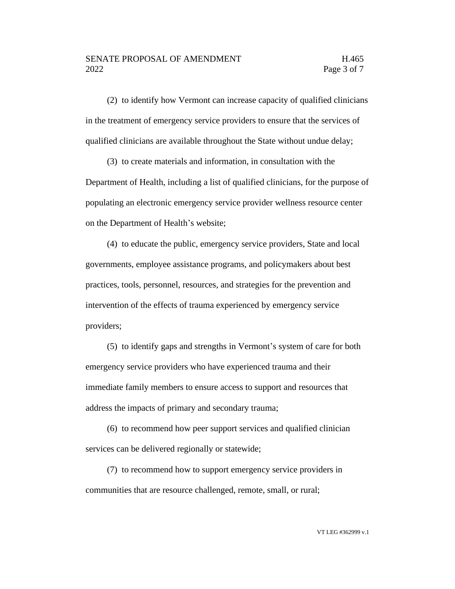(2) to identify how Vermont can increase capacity of qualified clinicians in the treatment of emergency service providers to ensure that the services of qualified clinicians are available throughout the State without undue delay;

(3) to create materials and information, in consultation with the Department of Health, including a list of qualified clinicians, for the purpose of populating an electronic emergency service provider wellness resource center on the Department of Health's website;

(4) to educate the public, emergency service providers, State and local governments, employee assistance programs, and policymakers about best practices, tools, personnel, resources, and strategies for the prevention and intervention of the effects of trauma experienced by emergency service providers;

(5) to identify gaps and strengths in Vermont's system of care for both emergency service providers who have experienced trauma and their immediate family members to ensure access to support and resources that address the impacts of primary and secondary trauma;

(6) to recommend how peer support services and qualified clinician services can be delivered regionally or statewide;

(7) to recommend how to support emergency service providers in communities that are resource challenged, remote, small, or rural;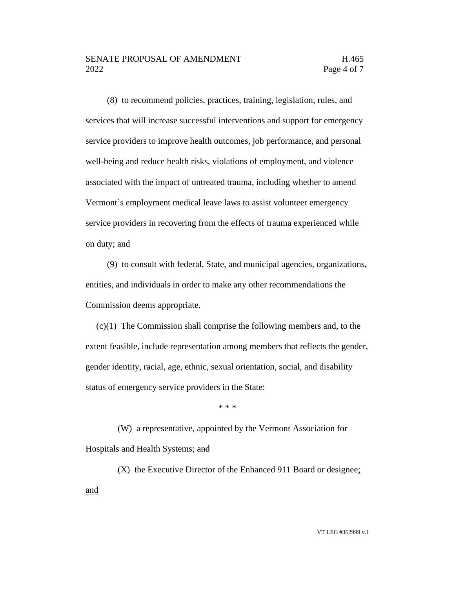### SENATE PROPOSAL OF AMENDMENT H.465 2022 **Page 4 of 7**

(8) to recommend policies, practices, training, legislation, rules, and services that will increase successful interventions and support for emergency service providers to improve health outcomes, job performance, and personal well-being and reduce health risks, violations of employment, and violence associated with the impact of untreated trauma, including whether to amend Vermont's employment medical leave laws to assist volunteer emergency service providers in recovering from the effects of trauma experienced while on duty; and

(9) to consult with federal, State, and municipal agencies, organizations, entities, and individuals in order to make any other recommendations the Commission deems appropriate.

(c)(1) The Commission shall comprise the following members and, to the extent feasible, include representation among members that reflects the gender, gender identity, racial, age, ethnic, sexual orientation, social, and disability status of emergency service providers in the State:

\* \* \*

(W) a representative, appointed by the Vermont Association for Hospitals and Health Systems; and

(X) the Executive Director of the Enhanced 911 Board or designee; and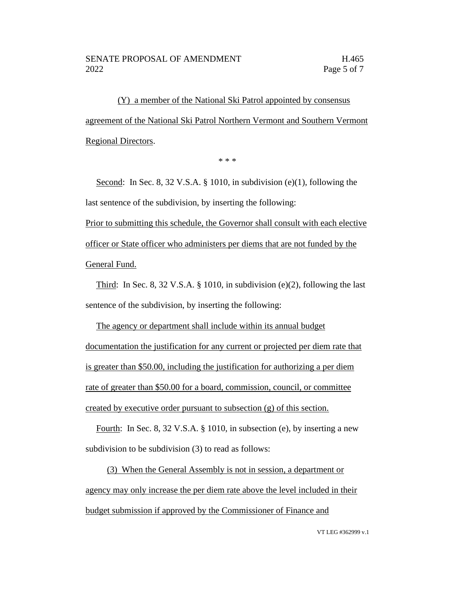(Y) a member of the National Ski Patrol appointed by consensus agreement of the National Ski Patrol Northern Vermont and Southern Vermont Regional Directors.

\* \* \*

Second: In Sec. 8, 32 V.S.A. § 1010, in subdivision (e)(1), following the last sentence of the subdivision, by inserting the following:

Prior to submitting this schedule, the Governor shall consult with each elective officer or State officer who administers per diems that are not funded by the General Fund.

Third: In Sec. 8, 32 V.S.A. § 1010, in subdivision (e)(2), following the last sentence of the subdivision, by inserting the following:

The agency or department shall include within its annual budget documentation the justification for any current or projected per diem rate that is greater than \$50.00, including the justification for authorizing a per diem rate of greater than \$50.00 for a board, commission, council, or committee created by executive order pursuant to subsection (g) of this section.

Fourth: In Sec. 8, 32 V.S.A. § 1010, in subsection (e), by inserting a new subdivision to be subdivision (3) to read as follows:

(3) When the General Assembly is not in session, a department or agency may only increase the per diem rate above the level included in their budget submission if approved by the Commissioner of Finance and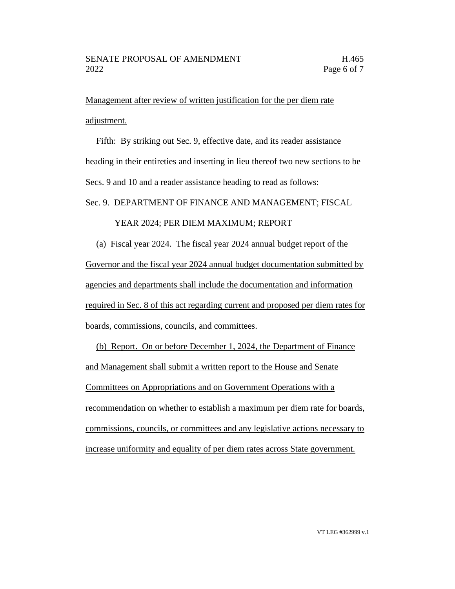Management after review of written justification for the per diem rate adjustment.

Fifth: By striking out Sec. 9, effective date, and its reader assistance heading in their entireties and inserting in lieu thereof two new sections to be Secs. 9 and 10 and a reader assistance heading to read as follows:

Sec. 9. DEPARTMENT OF FINANCE AND MANAGEMENT; FISCAL

# YEAR 2024; PER DIEM MAXIMUM; REPORT

(a) Fiscal year 2024. The fiscal year 2024 annual budget report of the Governor and the fiscal year 2024 annual budget documentation submitted by agencies and departments shall include the documentation and information required in Sec. 8 of this act regarding current and proposed per diem rates for boards, commissions, councils, and committees.

(b) Report. On or before December 1, 2024, the Department of Finance and Management shall submit a written report to the House and Senate Committees on Appropriations and on Government Operations with a recommendation on whether to establish a maximum per diem rate for boards, commissions, councils, or committees and any legislative actions necessary to increase uniformity and equality of per diem rates across State government.